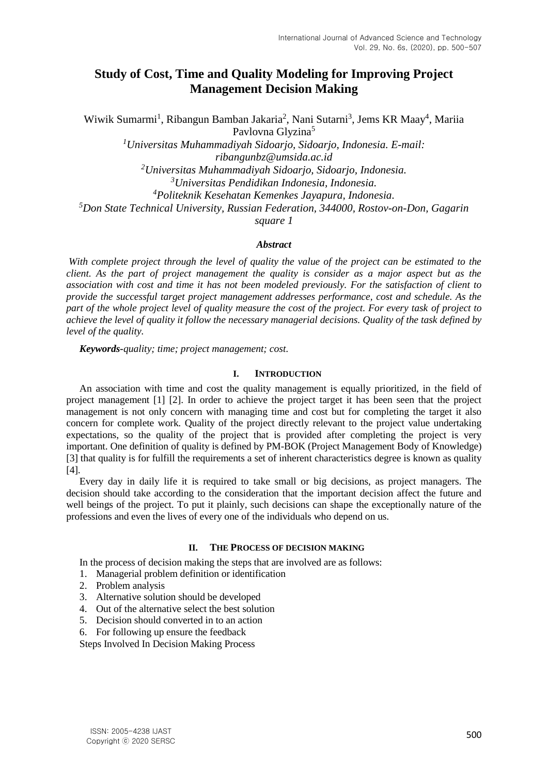# **Study of Cost, Time and Quality Modeling for Improving Project Management Decision Making**

Wiwik Sumarmi<sup>1</sup>, Ribangun Bamban Jakaria<sup>2</sup>, Nani Sutarni<sup>3</sup>, Jems KR Maay<sup>4</sup>, Mariia Pavlovna Glyzina<sup>5</sup>

*Universitas Muhammadiyah Sidoarjo, Sidoarjo, Indonesia. E-mail: ribangunbz@umsida.ac.id Universitas Muhammadiyah Sidoarjo, Sidoarjo, Indonesia. Universitas Pendidikan Indonesia, Indonesia. Politeknik Kesehatan Kemenkes Jayapura, Indonesia. Don State Technical University, Russian Federation, 344000, Rostov-on-Don, Gagarin square 1*

#### *Abstract*

*With complete project through the level of quality the value of the project can be estimated to the client. As the part of project management the quality is consider as a major aspect but as the association with cost and time it has not been modeled previously. For the satisfaction of client to provide the successful target project management addresses performance, cost and schedule. As the part of the whole project level of quality measure the cost of the project. For every task of project to achieve the level of quality it follow the necessary managerial decisions. Quality of the task defined by level of the quality.*

*Keywords-quality; time; project management; cost.*

#### **I. INTRODUCTION**

An association with time and cost the quality management is equally prioritized, in the field of project management [1] [2]. In order to achieve the project target it has been seen that the project management is not only concern with managing time and cost but for completing the target it also concern for complete work. Quality of the project directly relevant to the project value undertaking expectations, so the quality of the project that is provided after completing the project is very important. One definition of quality is defined by PM-BOK (Project Management Body of Knowledge) [3] that quality is for fulfill the requirements a set of inherent characteristics degree is known as quality [4].

Every day in daily life it is required to take small or big decisions, as project managers. The decision should take according to the consideration that the important decision affect the future and well beings of the project. To put it plainly, such decisions can shape the exceptionally nature of the professions and even the lives of every one of the individuals who depend on us.

## **II. THE PROCESS OF DECISION MAKING**

In the process of decision making the steps that are involved are as follows:

- 1. Managerial problem definition or identification
- 2. Problem analysis
- 3. Alternative solution should be developed
- 4. Out of the alternative select the best solution
- 5. Decision should converted in to an action
- 6. For following up ensure the feedback

Steps Involved In Decision Making Process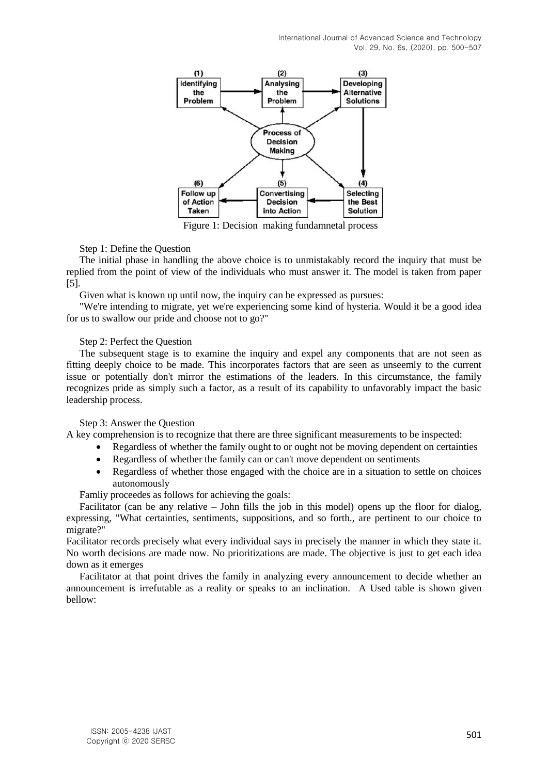International Journal of Advanced Science and Technology Vol. 29, No. 6s, (2020), pp. 500-507



Figure 1: Decision making fundamnetal process

## Step 1: Define the Question

The initial phase in handling the above choice is to unmistakably record the inquiry that must be replied from the point of view of the individuals who must answer it. The model is taken from paper [5].

Given what is known up until now, the inquiry can be expressed as pursues:

"We're intending to migrate, yet we're experiencing some kind of hysteria. Would it be a good idea for us to swallow our pride and choose not to go?"

# Step 2: Perfect the Question

The subsequent stage is to examine the inquiry and expel any components that are not seen as fitting deeply choice to be made. This incorporates factors that are seen as unseemly to the current issue or potentially don't mirror the estimations of the leaders. In this circumstance, the family recognizes pride as simply such a factor, as a result of its capability to unfavorably impact the basic leadership process.

## Step 3: Answer the Question

A key comprehension is to recognize that there are three significant measurements to be inspected:

- Regardless of whether the family ought to or ought not be moving dependent on certainties
- Regardless of whether the family can or can't move dependent on sentiments
- Regardless of whether those engaged with the choice are in a situation to settle on choices autonomously

Famliy proceedes as follows for achieving the goals:

Facilitator (can be any relative – John fills the job in this model) opens up the floor for dialog, expressing, "What certainties, sentiments, suppositions, and so forth., are pertinent to our choice to migrate?"

Facilitator records precisely what every individual says in precisely the manner in which they state it. No worth decisions are made now. No prioritizations are made. The objective is just to get each idea down as it emerges

Facilitator at that point drives the family in analyzing every announcement to decide whether an announcement is irrefutable as a reality or speaks to an inclination. A Used table is shown given bellow: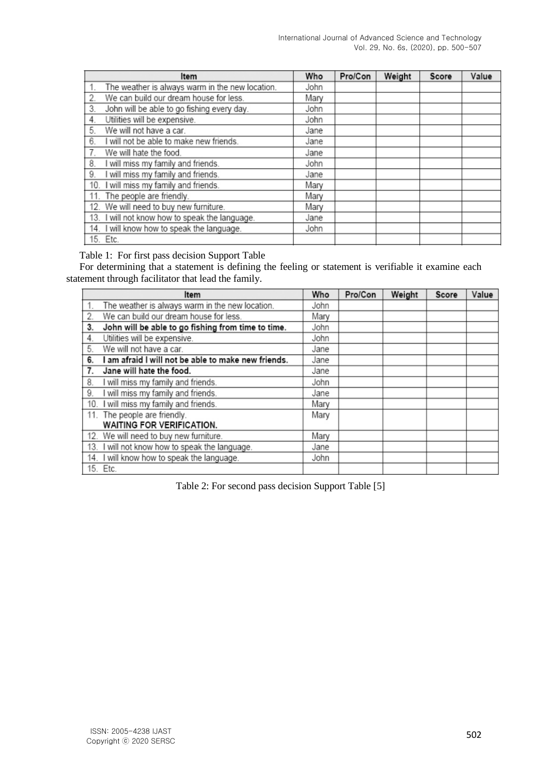| Item                                             | Who  | Pro/Con | Weight | Score | Value |
|--------------------------------------------------|------|---------|--------|-------|-------|
| The weather is always warm in the new location.  | John |         |        |       |       |
| 2.<br>We can build our dream house for less.     | Mary |         |        |       |       |
| 3.<br>John will be able to go fishing every day. | John |         |        |       |       |
| Utilities will be expensive.<br>4.               | John |         |        |       |       |
| 5.<br>We will not have a car.                    | Jane |         |        |       |       |
| I will not be able to make new friends.<br>6.    | Jane |         |        |       |       |
| 7.<br>We will hate the food.                     | Jane |         |        |       |       |
| I will miss my family and friends.<br>8.         | John |         |        |       |       |
| 9.<br>I will miss my family and friends.         | Jane |         |        |       |       |
| 10. I will miss my family and friends.           | Mary |         |        |       |       |
| 11. The people are friendly.                     | Mary |         |        |       |       |
| 12. We will need to buy new furniture.           | Mary |         |        |       |       |
| 13. I will not know how to speak the language.   | Jane |         |        |       |       |
| 14. I will know how to speak the language.       | John |         |        |       |       |
| 15. Etc.                                         |      |         |        |       |       |

# Table 1: For first pass decision Support Table

For determining that a statement is defining the feeling or statement is verifiable it examine each statement through facilitator that lead the family.

|    | Item                                                | Who  | Pro/Con | Weight | Score | Value |
|----|-----------------------------------------------------|------|---------|--------|-------|-------|
|    | The weather is always warm in the new location.     | John |         |        |       |       |
| 2. | We can build our dream house for less.              | Mary |         |        |       |       |
| 3. | John will be able to go fishing from time to time.  | John |         |        |       |       |
| 4. | Utilities will be expensive.                        | John |         |        |       |       |
| 5. | We will not have a car.                             | Jane |         |        |       |       |
| 6. | I am afraid I will not be able to make new friends. | Jane |         |        |       |       |
| 7. | Jane will hate the food.                            | Jane |         |        |       |       |
| 8. | will miss my family and friends.                    | John |         |        |       |       |
| 9. | will miss my family and friends.                    | Jane |         |        |       |       |
|    | 10. I will miss my family and friends.              | Mary |         |        |       |       |
|    | 11. The people are friendly.                        | Mary |         |        |       |       |
|    | WAITING FOR VERIFICATION.                           |      |         |        |       |       |
|    | 12. We will need to buy new furniture.              | Mary |         |        |       |       |
|    | 13. I will not know how to speak the language.      | Jane |         |        |       |       |
|    | 14. I will know how to speak the language.          | John |         |        |       |       |
|    | 15. Etc.                                            |      |         |        |       |       |

Table 2: For second pass decision Support Table [5]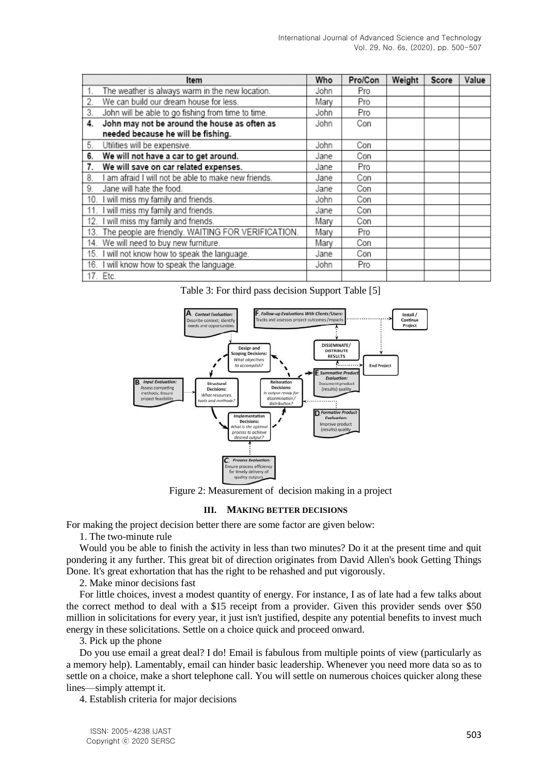|    | Item                                                   | Who  | Pro/Con | Weight | Score | Value |
|----|--------------------------------------------------------|------|---------|--------|-------|-------|
| 1. | The weather is always warm in the new location.        | John | Pro     |        |       |       |
| 2. | We can build our dream house for less.                 | Mary | Pro     |        |       |       |
| 3. | John will be able to go fishing from time to time.     | John | Pro     |        |       |       |
| 4. | John may not be around the house as often as           | John | Con     |        |       |       |
|    | needed because he will be fishing.                     |      |         |        |       |       |
| 5. | Utilities will be expensive.                           | John | Con     |        |       |       |
| 6. | We will not have a car to get around.                  | Jane | Con     |        |       |       |
| 7. | We will save on car related expenses.                  | Jane | Pro     |        |       |       |
| 8. | am afraid I will not be able to make new friends.      | Jane | Con     |        |       |       |
| 9. | Jane will hate the food.                               | Jane | Con     |        |       |       |
|    | 10. I will miss my family and friends.                 | John | Con     |        |       |       |
|    | 11. I will miss my family and friends.                 | Jane | Con     |        |       |       |
|    | 12. I will miss my family and friends.                 | Mary | Con     |        |       |       |
|    | 13. The people are friendly. WAITING FOR VERIFICATION. | Mary | Pro     |        |       |       |
|    | 14. We will need to buy new furniture.                 | Mary | Con     |        |       |       |
|    | 15. I will not know how to speak the language.         | Jane | Con     |        |       |       |
|    | 16. I will know how to speak the language.             | John | Pro     |        |       |       |
|    | 17. Etc.                                               |      |         |        |       |       |

|  |  |  | Table 3: For third pass decision Support Table [5] |  |  |
|--|--|--|----------------------------------------------------|--|--|
|--|--|--|----------------------------------------------------|--|--|



Figure 2: Measurement of decision making in a project

#### **III. MAKING BETTER DECISIONS**

For making the project decision better there are some factor are given below:

1. The two-minute rule

Would you be able to finish the activity in less than two minutes? Do it at the present time and quit pondering it any further. This great bit of direction originates from David Allen's book Getting Things Done. It's great exhortation that has the right to be rehashed and put vigorously.

2. Make minor decisions fast

For little choices, invest a modest quantity of energy. For instance, I as of late had a few talks about the correct method to deal with a \$15 receipt from a provider. Given this provider sends over \$50 million in solicitations for every year, it just isn't justified, despite any potential benefits to invest much energy in these solicitations. Settle on a choice quick and proceed onward.

3. Pick up the phone

Do you use email a great deal? I do! Email is fabulous from multiple points of view (particularly as a memory help). Lamentably, email can hinder basic leadership. Whenever you need more data so as to settle on a choice, make a short telephone call. You will settle on numerous choices quicker along these lines—simply attempt it.

4. Establish criteria for major decisions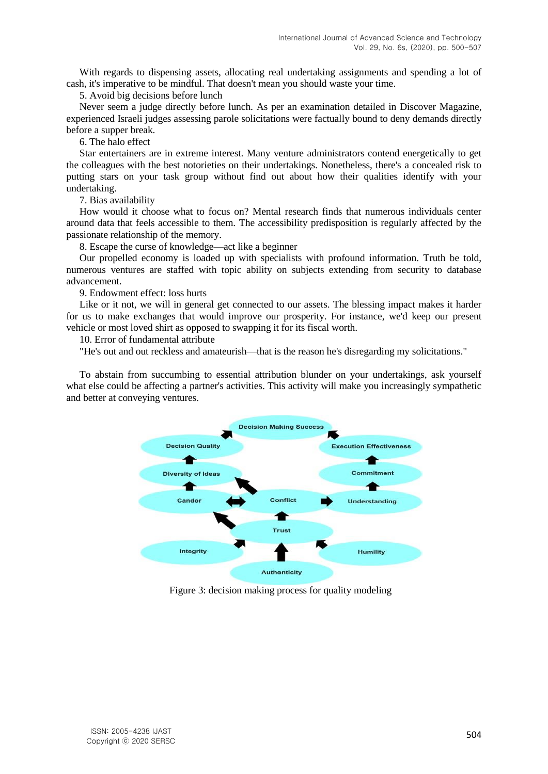With regards to dispensing assets, allocating real undertaking assignments and spending a lot of cash, it's imperative to be mindful. That doesn't mean you should waste your time.

5. Avoid big decisions before lunch

Never seem a judge directly before lunch. As per an examination detailed in Discover Magazine, experienced Israeli judges assessing parole solicitations were factually bound to deny demands directly before a supper break.

6. The halo effect

Star entertainers are in extreme interest. Many venture administrators contend energetically to get the colleagues with the best notorieties on their undertakings. Nonetheless, there's a concealed risk to putting stars on your task group without find out about how their qualities identify with your undertaking.

7. Bias availability

How would it choose what to focus on? Mental research finds that numerous individuals center around data that feels accessible to them. The accessibility predisposition is regularly affected by the passionate relationship of the memory.

8. Escape the curse of knowledge—act like a beginner

Our propelled economy is loaded up with specialists with profound information. Truth be told, numerous ventures are staffed with topic ability on subjects extending from security to database advancement.

9. Endowment effect: loss hurts

Like or it not, we will in general get connected to our assets. The blessing impact makes it harder for us to make exchanges that would improve our prosperity. For instance, we'd keep our present vehicle or most loved shirt as opposed to swapping it for its fiscal worth.

10. Error of fundamental attribute

"He's out and out reckless and amateurish—that is the reason he's disregarding my solicitations."

To abstain from succumbing to essential attribution blunder on your undertakings, ask yourself what else could be affecting a partner's activities. This activity will make you increasingly sympathetic and better at conveying ventures.



Figure 3: decision making process for quality modeling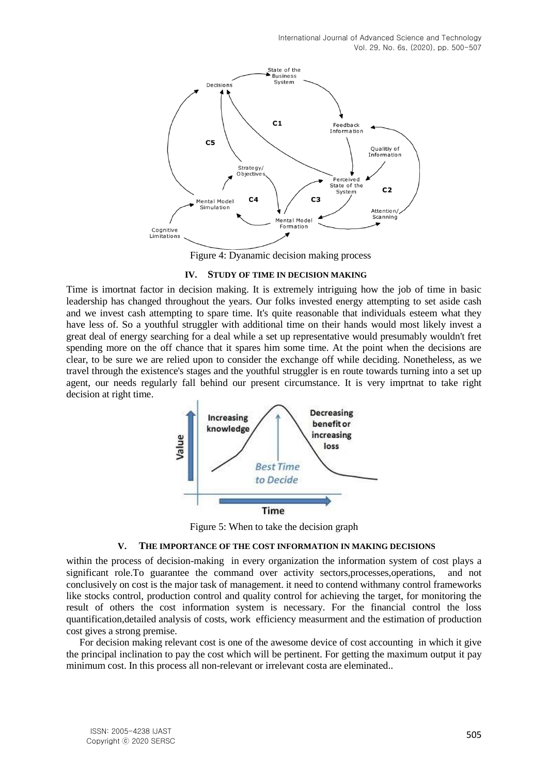

Figure 4: Dyanamic decision making process

## **IV. STUDY OF TIME IN DECISION MAKING**

Time is imortnat factor in decision making. It is extremely intriguing how the job of time in basic leadership has changed throughout the years. Our folks invested energy attempting to set aside cash and we invest cash attempting to spare time. It's quite reasonable that individuals esteem what they have less of. So a youthful struggler with additional time on their hands would most likely invest a great deal of energy searching for a deal while a set up representative would presumably wouldn't fret spending more on the off chance that it spares him some time. At the point when the decisions are clear, to be sure we are relied upon to consider the exchange off while deciding. Nonetheless, as we travel through the existence's stages and the youthful struggler is en route towards turning into a set up agent, our needs regularly fall behind our present circumstance. It is very imprtnat to take right decision at right time.



Figure 5: When to take the decision graph

## **V. THE IMPORTANCE OF THE COST INFORMATION IN MAKING DECISIONS**

within the process of decision-making in every organization the information system of cost plays a significant role.To guarantee the command over activity sectors,processes,operations, and not conclusively on cost is the major task of management. it need to contend withmany control frameworks like stocks control, production control and quality control for achieving the target, for monitoring the result of others the cost information system is necessary. For the financial control the loss quantification,detailed analysis of costs, work efficiency measurment and the estimation of production cost gives a strong premise.

For decision making relevant cost is one of the awesome device of cost accounting in which it give the principal inclination to pay the cost which will be pertinent. For getting the maximum output it pay minimum cost. In this process all non-relevant or irrelevant costa are eleminated..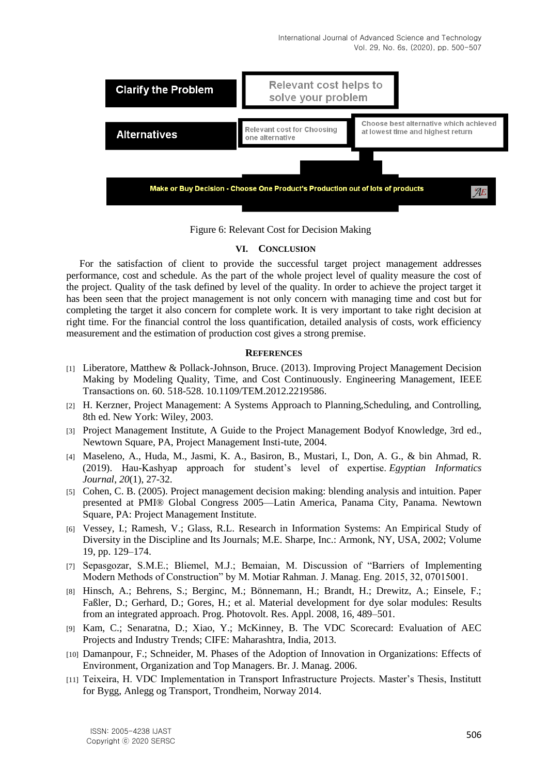International Journal of Advanced Science and Technology Vol. 29, No. 6s, (2020), pp. 500-507



Figure 6: Relevant Cost for Decision Making

# **VI. CONCLUSION**

For the satisfaction of client to provide the successful target project management addresses performance, cost and schedule. As the part of the whole project level of quality measure the cost of the project. Quality of the task defined by level of the quality. In order to achieve the project target it has been seen that the project management is not only concern with managing time and cost but for completing the target it also concern for complete work. It is very important to take right decision at right time. For the financial control the loss quantification, detailed analysis of costs, work efficiency measurement and the estimation of production cost gives a strong premise.

## **REFERENCES**

- [1] Liberatore, Matthew & Pollack-Johnson, Bruce. (2013). Improving Project Management Decision Making by Modeling Quality, Time, and Cost Continuously. Engineering Management, IEEE Transactions on. 60. 518-528. 10.1109/TEM.2012.2219586.
- [2] H. Kerzner, Project Management: A Systems Approach to Planning,Scheduling, and Controlling, 8th ed. New York: Wiley, 2003.
- [3] Project Management Institute, A Guide to the Project Management Bodyof Knowledge, 3rd ed., Newtown Square, PA, Project Management Insti-tute, 2004.
- [4] Maseleno, A., Huda, M., Jasmi, K. A., Basiron, B., Mustari, I., Don, A. G., & bin Ahmad, R. (2019). Hau-Kashyap approach for student's level of expertise. *Egyptian Informatics Journal*, *20*(1), 27-32.
- [5] Cohen, C. B. (2005). Project management decision making: blending analysis and intuition. Paper presented at PMI® Global Congress 2005—Latin America, Panama City, Panama. Newtown Square, PA: Project Management Institute.
- [6] Vessey, I.; Ramesh, V.; Glass, R.L. Research in Information Systems: An Empirical Study of Diversity in the Discipline and Its Journals; M.E. Sharpe, Inc.: Armonk, NY, USA, 2002; Volume 19, pp. 129–174.
- [7] Sepasgozar, S.M.E.; Bliemel, M.J.; Bemaian, M. Discussion of "Barriers of Implementing Modern Methods of Construction" by M. Motiar Rahman. J. Manag. Eng. 2015, 32, 07015001.
- [8] Hinsch, A.; Behrens, S.; Berginc, M.; Bönnemann, H.; Brandt, H.; Drewitz, A.; Einsele, F.; Faßler, D.; Gerhard, D.; Gores, H.; et al. Material development for dye solar modules: Results from an integrated approach. Prog. Photovolt. Res. Appl. 2008, 16, 489–501.
- [9] Kam, C.; Senaratna, D.; Xiao, Y.; McKinney, B. The VDC Scorecard: Evaluation of AEC Projects and Industry Trends; CIFE: Maharashtra, India, 2013.
- [10] Damanpour, F.; Schneider, M. Phases of the Adoption of Innovation in Organizations: Effects of Environment, Organization and Top Managers. Br. J. Manag. 2006.
- [11] Teixeira, H. VDC Implementation in Transport Infrastructure Projects. Master's Thesis, Institutt for Bygg, Anlegg og Transport, Trondheim, Norway 2014.